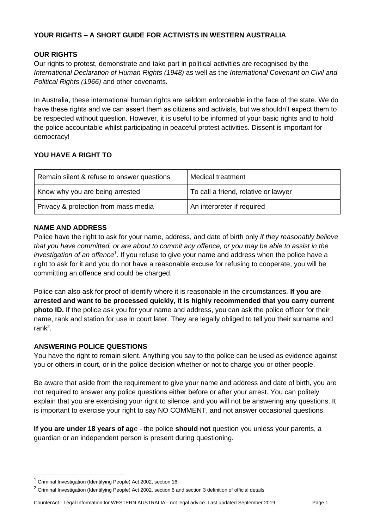# **OUR RIGHTS**

Our rights to protest, demonstrate and take part in political activities are recognised by the *International Declaration of Human Rights (1948)* as well as the *International Covenant on Civil and Political Rights (1966)* and other covenants.

In Australia, these international human rights are seldom enforceable in the face of the state. We do have these rights and we can assert them as citizens and activists, but we shouldn't expect them to be respected without question. However, it is useful to be informed of your basic rights and to hold the police accountable whilst participating in peaceful protest activities. Dissent is important for democracy!

# **YOU HAVE A RIGHT TO**

| Remain silent & refuse to answer questions | Medical treatment                    |
|--------------------------------------------|--------------------------------------|
| Know why you are being arrested            | To call a friend, relative or lawyer |
| Privacy & protection from mass media       | An interpreter if required           |

## **NAME AND ADDRESS**

Police have the right to ask for your name, address, and date of birth only *if they reasonably believe that you have committed, or are about to commit any offence, or you may be able to assist in the*  investigation of an offence<sup>1</sup>. If you refuse to give your name and address when the police have a right to ask for it and you do not have a reasonable excuse for refusing to cooperate, you will be committing an offence and could be charged.

Police can also ask for proof of identify where it is reasonable in the circumstances. **If you are arrested and want to be processed quickly, it is highly recommended that you carry current photo ID.** If the police ask you for your name and address, you can ask the police officer for their name, rank and station for use in court later. They are legally obliged to tell you their surname and rank<sup>2</sup>.

## **ANSWERING POLICE QUESTIONS**

You have the right to remain silent. Anything you say to the police can be used as evidence against you or others in court, or in the police decision whether or not to charge you or other people.

Be aware that aside from the requirement to give your name and address and date of birth, you are not required to answer any police questions either before or after your arrest. You can politely explain that you are exercising your right to silence, and you will not be answering any questions. It is important to exercise your right to say NO COMMENT, and not answer occasional questions.

**If you are under 18 years of ag**e - the police **should not** question you unless your parents, a guardian or an independent person is present during questioning.

CounterAct - Legal Information for WESTERN AUSTRALIA - not legal advice. Last updated September 2019 Page 1

 $1$  Criminal Investigation (Identifying People) Act 2002, section 16

<sup>&</sup>lt;sup>2</sup> Criminal Investigation (Identifying People) Act 2002, section 6 and section 3 definition of official details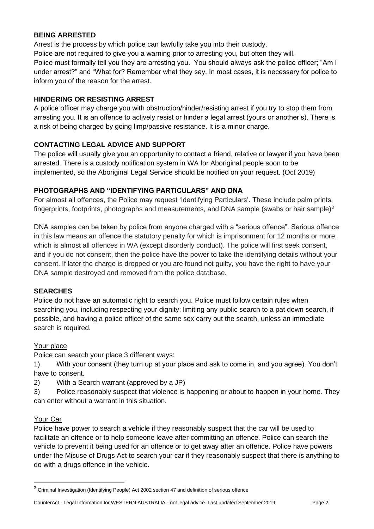## **BEING ARRESTED**

Arrest is the process by which police can lawfully take you into their custody.

Police are not required to give you a warning prior to arresting you, but often they will.

Police must formally tell you they are arresting you. You should always ask the police officer; "Am I under arrest?" and "What for? Remember what they say. In most cases, it is necessary for police to inform you of the reason for the arrest.

## **HINDERING OR RESISTING ARREST**

A police officer may charge you with obstruction/hinder/resisting arrest if you try to stop them from arresting you. It is an offence to actively resist or hinder a legal arrest (yours or another's). There is a risk of being charged by going limp/passive resistance. It is a minor charge.

## **CONTACTING LEGAL ADVICE AND SUPPORT**

The police will usually give you an opportunity to contact a friend, relative or lawyer if you have been arrested. There is a custody notification system in WA for Aboriginal people soon to be implemented, so the Aboriginal Legal Service should be notified on your request. (Oct 2019)

## **PHOTOGRAPHS AND "IDENTIFYING PARTICULARS" AND DNA**

For almost all offences, the Police may request 'Identifying Particulars'. These include palm prints, fingerprints, footprints, photographs and measurements, and DNA sample (swabs or hair sample)<sup>3</sup>

DNA samples can be taken by police from anyone charged with a "serious offence". Serious offence in this law means an offence the statutory penalty for which is imprisonment for 12 months or more, which is almost all offences in WA (except disorderly conduct). The police will first seek consent, and if you do not consent, then the police have the power to take the identifying details without your consent. If later the charge is dropped or you are found not guilty, you have the right to have your DNA sample destroyed and removed from the police database.

## **SEARCHES**

Police do not have an automatic right to search you. Police must follow certain rules when searching you, including respecting your dignity; limiting any public search to a pat down search, if possible, and having a police officer of the same sex carry out the search, unless an immediate search is required.

## Your place

Police can search your place 3 different ways:

1) With your consent (they turn up at your place and ask to come in, and you agree). You don't have to consent.

2) With a Search warrant (approved by a JP)

3) Police reasonably suspect that violence is happening or about to happen in your home. They can enter without a warrant in this situation.

## Your Car

Police have power to search a vehicle if they reasonably suspect that the car will be used to facilitate an offence or to help someone leave after committing an offence. Police can search the vehicle to prevent it being used for an offence or to get away after an offence. Police have powers under the Misuse of Drugs Act to search your car if they reasonably suspect that there is anything to do with a drugs offence in the vehicle.

CounterAct - Legal Information for WESTERN AUSTRALIA - not legal advice. Last updated September 2019 Page 2

<sup>&</sup>lt;sup>3</sup> Criminal Investigation (Identifying People) Act 2002 section 47 and definition of serious offence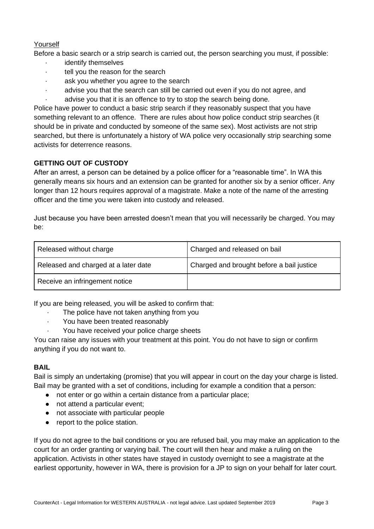# Yourself

Before a basic search or a strip search is carried out, the person searching you must, if possible:

- identify themselves
- tell you the reason for the search
- ask you whether you agree to the search
- advise you that the search can still be carried out even if you do not agree, and advise you that it is an offence to try to stop the search being done.

Police have power to conduct a basic strip search if they reasonably suspect that you have something relevant to an offence. There are rules about how police conduct strip searches (it should be in private and conducted by someone of the same sex). Most activists are not strip searched, but there is unfortunately a history of WA police very occasionally strip searching some activists for deterrence reasons.

# **GETTING OUT OF CUSTODY**

After an arrest, a person can be detained by a police officer for a "reasonable time". In WA this generally means six hours and an extension can be granted for another six by a senior officer. Any longer than 12 hours requires approval of a magistrate. Make a note of the name of the arresting officer and the time you were taken into custody and released.

Just because you have been arrested doesn't mean that you will necessarily be charged. You may be:

| Released without charge              | Charged and released on bail              |
|--------------------------------------|-------------------------------------------|
| Released and charged at a later date | Charged and brought before a bail justice |
| Receive an infringement notice       |                                           |

If you are being released, you will be asked to confirm that:

- The police have not taken anything from you
- · You have been treated reasonably
	- You have received your police charge sheets

You can raise any issues with your treatment at this point. You do not have to sign or confirm anything if you do not want to.

# **BAIL**

Bail is simply an undertaking (promise) that you will appear in court on the day your charge is listed. Bail may be granted with a set of conditions, including for example a condition that a person:

- not enter or go within a certain distance from a particular place;
- not attend a particular event;
- not associate with particular people
- report to the police station.

If you do not agree to the bail conditions or you are refused bail, you may make an application to the court for an order granting or varying bail. The court will then hear and make a ruling on the application. Activists in other states have stayed in custody overnight to see a magistrate at the earliest opportunity, however in WA, there is provision for a JP to sign on your behalf for later court.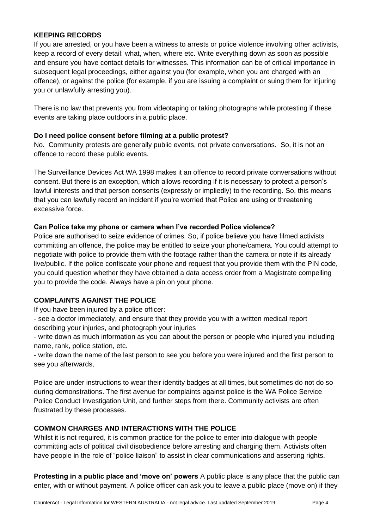## **KEEPING RECORDS**

If you are arrested, or you have been a witness to arrests or police violence involving other activists, keep a record of every detail: what, when, where etc. Write everything down as soon as possible and ensure you have contact details for witnesses. This information can be of critical importance in subsequent legal proceedings, either against you (for example, when you are charged with an offence), or against the police (for example, if you are issuing a complaint or suing them for injuring you or unlawfully arresting you).

There is no law that prevents you from videotaping or taking photographs while protesting if these events are taking place outdoors in a public place.

#### **Do I need police consent before filming at a public protest?**

No. Community protests are generally public events, not private conversations. So, it is not an offence to record these public events.

The Surveillance Devices Act WA 1998 makes it an offence to record private conversations without consent. But there is an exception, which allows recording if it is necessary to protect a person's lawful interests and that person consents (expressly or impliedly) to the recording. So, this means that you can lawfully record an incident if you're worried that Police are using or threatening excessive force.

### **Can Police take my phone or camera when I've recorded Police violence?**

Police are authorised to seize evidence of crimes. So, if police believe you have filmed activists committing an offence, the police may be entitled to seize your phone/camera. You could attempt to negotiate with police to provide them with the footage rather than the camera or note if its already live/public. If the police confiscate your phone and request that you provide them with the PIN code, you could question whether they have obtained a data access order from a Magistrate compelling you to provide the code. Always have a pin on your phone.

## **COMPLAINTS AGAINST THE POLICE**

If you have been injured by a police officer:

- see a doctor immediately, and ensure that they provide you with a written medical report describing your injuries, and photograph your injuries

- write down as much information as you can about the person or people who injured you including name, rank, police station, etc.

- write down the name of the last person to see you before you were injured and the first person to see you afterwards,

Police are under instructions to wear their identity badges at all times, but sometimes do not do so during demonstrations. The first avenue for complaints against police is the WA Police Service Police Conduct Investigation Unit, and further steps from there. Community activists are often frustrated by these processes.

## **COMMON CHARGES AND INTERACTIONS WITH THE POLICE**

Whilst it is not required, it is common practice for the police to enter into dialogue with people committing acts of political civil disobedience before arresting and charging them. Activists often have people in the role of "police liaison" to assist in clear communications and asserting rights.

**Protesting in a public place and 'move on' powers** A public place is any place that the public can enter, with or without payment. A police officer can ask you to leave a public place (move on) if they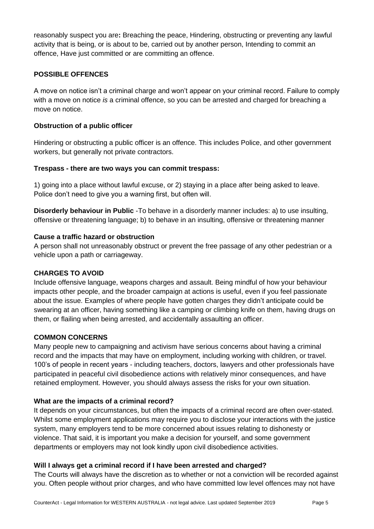reasonably suspect you are**:** Breaching the peace, Hindering, obstructing or preventing any lawful activity that is being, or is about to be, carried out by another person, Intending to commit an offence, Have just committed or are committing an offence.

## **POSSIBLE OFFENCES**

A move on notice isn't a criminal charge and won't appear on your criminal record. Failure to comply with a move on notice *is* a criminal offence, so you can be arrested and charged for breaching a move on notice.

#### **Obstruction of a public officer**

Hindering or obstructing a public officer is an offence. This includes Police, and other government workers, but generally not private contractors.

#### **Trespass - there are two ways you can commit trespass:**

1) going into a place without lawful excuse, or 2) staying in a place after being asked to leave. Police don't need to give you a warning first, but often will.

**Disorderly behaviour in Public** -To behave in a disorderly manner includes: a) to use insulting, offensive or threatening language; b) to behave in an insulting, offensive or threatening manner

### **Cause a traffic hazard or obstruction**

A person shall not unreasonably obstruct or prevent the free passage of any other pedestrian or a vehicle upon a path or carriageway.

## **CHARGES TO AVOID**

Include offensive language, weapons charges and assault. Being mindful of how your behaviour impacts other people, and the broader campaign at actions is useful, even if you feel passionate about the issue. Examples of where people have gotten charges they didn't anticipate could be swearing at an officer, having something like a camping or climbing knife on them, having drugs on them, or flailing when being arrested, and accidentally assaulting an officer.

#### **COMMON CONCERNS**

Many people new to campaigning and activism have serious concerns about having a criminal record and the impacts that may have on employment, including working with children, or travel. 100's of people in recent years - including teachers, doctors, lawyers and other professionals have participated in peaceful civil disobedience actions with relatively minor consequences, and have retained employment. However, you should always assess the risks for your own situation.

#### **What are the impacts of a criminal record?**

It depends on your circumstances, but often the impacts of a criminal record are often over-stated. Whilst some employment applications may require you to disclose your interactions with the justice system, many employers tend to be more concerned about issues relating to dishonesty or violence. That said, it is important you make a decision for yourself, and some government departments or employers may not look kindly upon civil disobedience activities.

#### **Will I always get a criminal record if I have been arrested and charged?**

The Courts will always have the discretion as to whether or not a conviction will be recorded against you. Often people without prior charges, and who have committed low level offences may not have